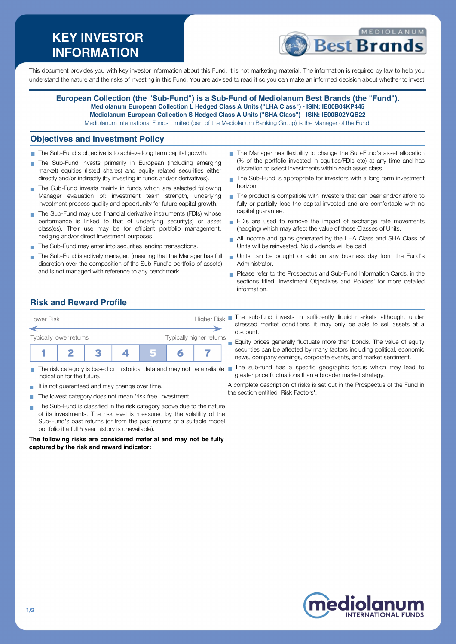# **KEY INVESTOR INFORMATION**



This document provides you with key investor information about this Fund. It is not marketing material. The information is required by law to help you understand the nature and the risks of investing in this Fund. You are advised to read it so you can make an informed decision about whether to invest.

**European Collection (the "Sub-Fund") is a Sub-Fund of Mediolanum Best Brands (the "Fund"). Mediolanum European Collection L Hedged Class A Units ("LHA Class") - ISIN: IE00B04KP445 Mediolanum European Collection S Hedged Class A Units ("SHA Class") - ISIN: IE00B02YQB22** Mediolanum International Funds Limited (part of the Mediolanum Banking Group) is the Manager of the Fund.

#### **Objectives and Investment Policy**

- The Sub-Fund's objective is to achieve long term capital growth.
- The Sub-Fund invests primarily in European (including emerging market) equities (listed shares) and equity related securities either directly and/or indirectly (by investing in funds and/or derivatives).
- The Sub-Fund invests mainly in funds which are selected following Manager evaluation of: investment team strength, underlying investment process quality and opportunity for future capital growth.
- The Sub-Fund may use financial derivative instruments (FDIs) whose performance is linked to that of underlying security(s) or asset class(es). Their use may be for efficient portfolio management, hedging and/or direct Investment purposes.
- The Sub-Fund may enter into securities lending transactions.
- The Sub-Fund is actively managed (meaning that the Manager has full discretion over the composition of the Sub-Fund's portfolio of assets) and is not managed with reference to any benchmark.
- The Manager has flexibility to change the Sub-Fund's asset allocation (% of the portfolio invested in equities/FDIs etc) at any time and has discretion to select investments within each asset class.
- The Sub-Fund is appropriate for investors with a long term investment horizon.
- The product is compatible with investors that can bear and/or afford to fully or partially lose the capital invested and are comfortable with no capital guarantee.
- FDIs are used to remove the impact of exchange rate movements (hedging) which may affect the value of these Classes of Units.
- All income and gains generated by the LHA Class and SHA Class of  $\overline{\phantom{a}}$ Units will be reinvested. No dividends will be paid.
- Units can be bought or sold on any business day from the Fund's Administrator.
- **Please refer to the Prospectus and Sub-Fund Information Cards, in the** sections titled 'Investment Objectives and Policies' for more detailed information.

## **Risk and Reward Profile**



- m. indication for the future.
- It is not guaranteed and may change over time.  $\sim$
- The lowest category does not mean 'risk free' investment.
- The Sub-Fund is classified in the risk category above due to the nature  $\mathcal{L}_{\mathcal{A}}$ of its investments. The risk level is measured by the volatility of the Sub-Fund's past returns (or from the past returns of a suitable model portfolio if a full 5 year history is unavailable).

**The following risks are considered material and may not be fully captured by the risk and reward indicator:**

- stressed market conditions, it may only be able to sell assets at a discount.
- Equity prices generally fluctuate more than bonds. The value of equity securities can be affected by many factors including political, economic news, company earnings, corporate events, and market sentiment.
- The risk category is based on historical data and may not be a reliable The sub-fund has a specific geographic focus which may lead to greater price fluctuations than a broader market strategy.
	- A complete description of risks is set out in the Prospectus of the Fund in the section entitled 'Risk Factors'.